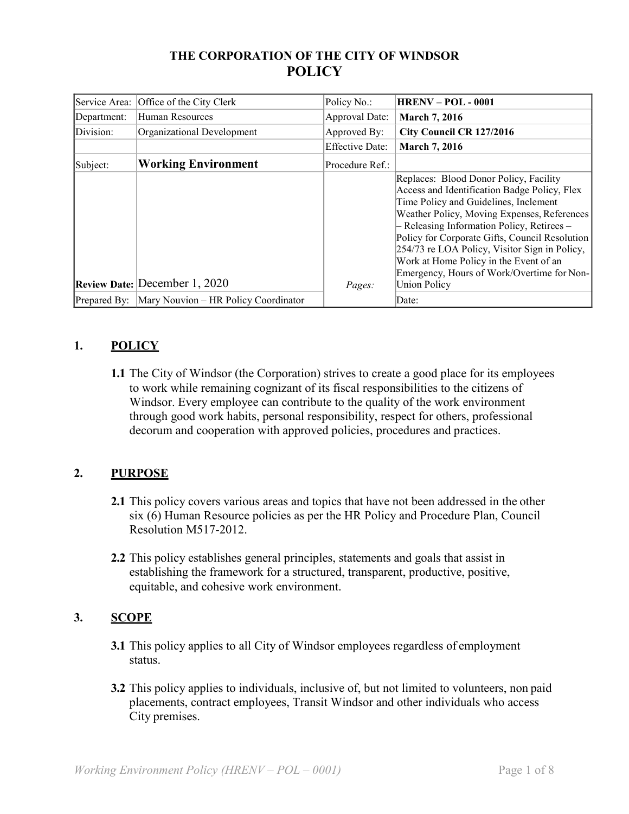# **THE CORPORATION OF THE CITY OF WINDSOR POLICY**

| Service Area: | Office of the City Clerk             | Policy No.:            | <b>HRENV-POL-0001</b>                                                                                                                                                                                                                                                                                                                                                                                                                          |
|---------------|--------------------------------------|------------------------|------------------------------------------------------------------------------------------------------------------------------------------------------------------------------------------------------------------------------------------------------------------------------------------------------------------------------------------------------------------------------------------------------------------------------------------------|
| Department:   | Human Resources                      | Approval Date:         | <b>March 7, 2016</b>                                                                                                                                                                                                                                                                                                                                                                                                                           |
| Division:     | Organizational Development           | Approved By:           | City Council CR 127/2016                                                                                                                                                                                                                                                                                                                                                                                                                       |
|               |                                      | <b>Effective Date:</b> | <b>March 7, 2016</b>                                                                                                                                                                                                                                                                                                                                                                                                                           |
| Subject:      | <b>Working Environment</b>           | Procedure Ref.:        |                                                                                                                                                                                                                                                                                                                                                                                                                                                |
|               | Review Date: December 1, 2020        | Pages:                 | Replaces: Blood Donor Policy, Facility<br>Access and Identification Badge Policy, Flex<br>Time Policy and Guidelines, Inclement<br>Weather Policy, Moving Expenses, References<br>- Releasing Information Policy, Retirees -<br>Policy for Corporate Gifts, Council Resolution<br>254/73 re LOA Policy, Visitor Sign in Policy,<br>Work at Home Policy in the Event of an<br>Emergency, Hours of Work/Overtime for Non-<br><b>Union Policy</b> |
| Prepared By:  | Mary Nouvion - HR Policy Coordinator |                        | Date:                                                                                                                                                                                                                                                                                                                                                                                                                                          |

# **1. POLICY**

**1.1** The City of Windsor (the Corporation) strives to create a good place for its employees to work while remaining cognizant of its fiscal responsibilities to the citizens of Windsor. Every employee can contribute to the quality of the work environment through good work habits, personal responsibility, respect for others, professional decorum and cooperation with approved policies, procedures and practices.

## **2. PURPOSE**

- **2.1** This policy covers various areas and topics that have not been addressed in the other six (6) Human Resource policies as per the HR Policy and Procedure Plan, Council Resolution M517-2012.
- **2.2** This policy establishes general principles, statements and goals that assist in establishing the framework for a structured, transparent, productive, positive, equitable, and cohesive work environment.

# **3. SCOPE**

- **3.1** This policy applies to all City of Windsor employees regardless of employment status.
- **3.2** This policy applies to individuals, inclusive of, but not limited to volunteers, non paid placements, contract employees, Transit Windsor and other individuals who access City premises.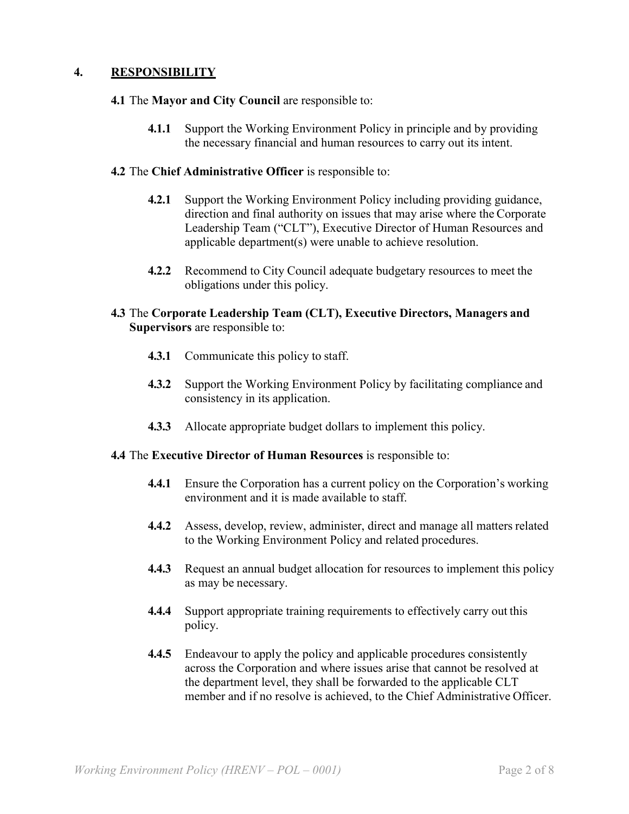## **4. RESPONSIBILITY**

### **4.1** The **Mayor and City Council** are responsible to:

**4.1.1** Support the Working Environment Policy in principle and by providing the necessary financial and human resources to carry out its intent.

### **4.2** The **Chief Administrative Officer** is responsible to:

- **4.2.1** Support the Working Environment Policy including providing guidance, direction and final authority on issues that may arise where the Corporate Leadership Team ("CLT"), Executive Director of Human Resources and applicable department(s) were unable to achieve resolution.
- **4.2.2** Recommend to City Council adequate budgetary resources to meet the obligations under this policy.

### **4.3** The **Corporate Leadership Team (CLT), Executive Directors, Managers and Supervisors** are responsible to:

- **4.3.1** Communicate this policy to staff.
- **4.3.2** Support the Working Environment Policy by facilitating compliance and consistency in its application.
- **4.3.3** Allocate appropriate budget dollars to implement this policy.

#### **4.4** The **Executive Director of Human Resources** is responsible to:

- **4.4.1** Ensure the Corporation has a current policy on the Corporation's working environment and it is made available to staff.
- **4.4.2** Assess, develop, review, administer, direct and manage all matters related to the Working Environment Policy and related procedures.
- **4.4.3** Request an annual budget allocation for resources to implement this policy as may be necessary.
- **4.4.4** Support appropriate training requirements to effectively carry out this policy.
- **4.4.5** Endeavour to apply the policy and applicable procedures consistently across the Corporation and where issues arise that cannot be resolved at the department level, they shall be forwarded to the applicable CLT member and if no resolve is achieved, to the Chief Administrative Officer.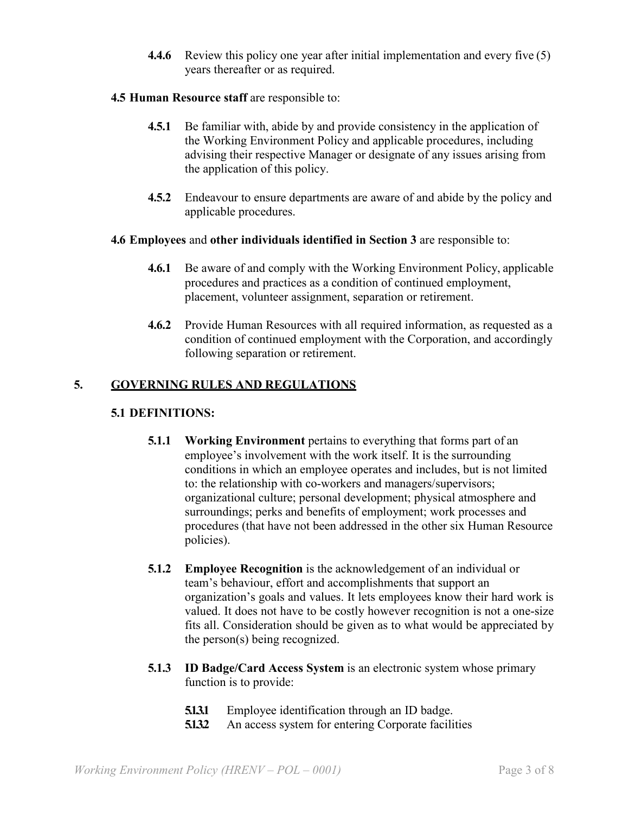**4.4.6** Review this policy one year after initial implementation and every five (5) years thereafter or as required.

## **4.5 Human Resource staff** are responsible to:

- **4.5.1** Be familiar with, abide by and provide consistency in the application of the Working Environment Policy and applicable procedures, including advising their respective Manager or designate of any issues arising from the application of this policy.
- **4.5.2** Endeavour to ensure departments are aware of and abide by the policy and applicable procedures.

## **4.6 Employees** and **other individuals identified in Section 3** are responsible to:

- **4.6.1** Be aware of and comply with the Working Environment Policy, applicable procedures and practices as a condition of continued employment, placement, volunteer assignment, separation or retirement.
- **4.6.2** Provide Human Resources with all required information, as requested as a condition of continued employment with the Corporation, and accordingly following separation or retirement.

# **5. GOVERNING RULES AND REGULATIONS**

## **5.1 DEFINITIONS:**

- **5.1.1 Working Environment** pertains to everything that forms part of an employee's involvement with the work itself. It is the surrounding conditions in which an employee operates and includes, but is not limited to: the relationship with co-workers and managers/supervisors; organizational culture; personal development; physical atmosphere and surroundings; perks and benefits of employment; work processes and procedures (that have not been addressed in the other six Human Resource policies).
- **5.1.2 Employee Recognition** is the acknowledgement of an individual or team's behaviour, effort and accomplishments that support an organization's goals and values. It lets employees know their hard work is valued. It does not have to be costly however recognition is not a one-size fits all. Consideration should be given as to what would be appreciated by the person(s) being recognized.
- **5.1.3 ID Badge/Card Access System** is an electronic system whose primary function is to provide:
	- **5.1.3.1** Employee identification through an ID badge.
	- **5.1.3.2** An access system for entering Corporate facilities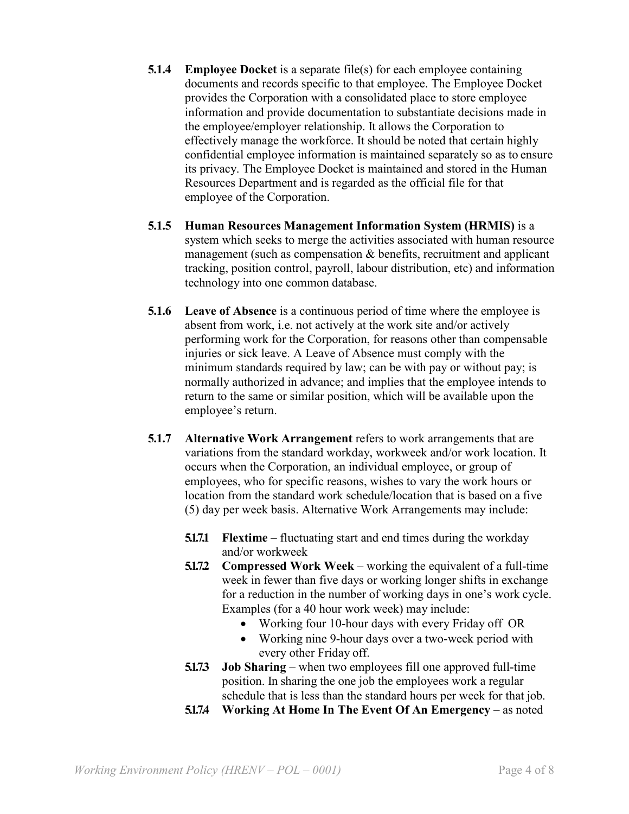- **5.1.4 Employee Docket** is a separate file(s) for each employee containing documents and records specific to that employee. The Employee Docket provides the Corporation with a consolidated place to store employee information and provide documentation to substantiate decisions made in the employee/employer relationship. It allows the Corporation to effectively manage the workforce. It should be noted that certain highly confidential employee information is maintained separately so as to ensure its privacy. The Employee Docket is maintained and stored in the Human Resources Department and is regarded as the official file for that employee of the Corporation.
- **5.1.5 Human Resources Management Information System (HRMIS)** is a system which seeks to merge the activities associated with human resource management (such as compensation & benefits, recruitment and applicant tracking, position control, payroll, labour distribution, etc) and information technology into one common database.
- **5.1.6 Leave of Absence** is a continuous period of time where the employee is absent from work, i.e. not actively at the work site and/or actively performing work for the Corporation, for reasons other than compensable injuries or sick leave. A Leave of Absence must comply with the minimum standards required by law; can be with pay or without pay; is normally authorized in advance; and implies that the employee intends to return to the same or similar position, which will be available upon the employee's return.
- **5.1.7 Alternative Work Arrangement** refers to work arrangements that are variations from the standard workday, workweek and/or work location. It occurs when the Corporation, an individual employee, or group of employees, who for specific reasons, wishes to vary the work hours or location from the standard work schedule/location that is based on a five (5) day per week basis. Alternative Work Arrangements may include:
	- **5.1.7.1 Flextime** fluctuating start and end times during the workday and/or workweek
	- **5.1.7.2** Compressed Work Week working the equivalent of a full-time week in fewer than five days or working longer shifts in exchange for a reduction in the number of working days in one's work cycle. Examples (for a 40 hour work week) may include:
		- Working four 10-hour days with every Friday off OR
		- Working nine 9-hour days over a two-week period with every other Friday off.
	- **5.1.7.3 Job Sharing** when two employees fill one approved full-time position. In sharing the one job the employees work a regular schedule that is less than the standard hours per week for that job.
	- **5.1.7.4 Working At Home In The Event Of An Emergency** as noted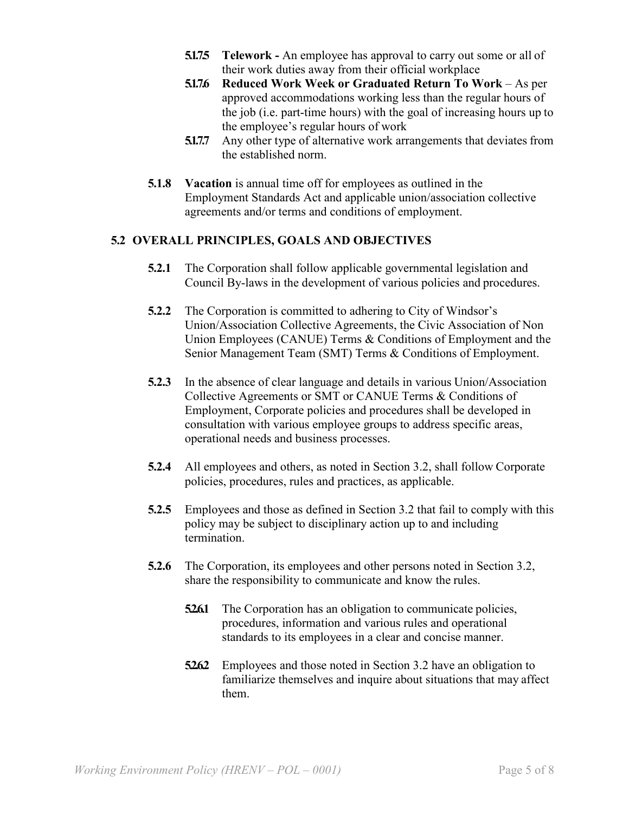- **5.1.7.5 Telework -** An employee has approval to carry out some or all of their work duties away from their official workplace
- **5.1.7.6 Reduced Work Week or Graduated Return To Work** As per approved accommodations working less than the regular hours of the job (i.e. part-time hours) with the goal of increasing hours up to the employee's regular hours of work
- **5.1.7.7** Any other type of alternative work arrangements that deviates from the established norm.
- **5.1.8 Vacation** is annual time off for employees as outlined in the Employment Standards Act and applicable union/association collective agreements and/or terms and conditions of employment.

### **5.2 OVERALL PRINCIPLES, GOALS AND OBJECTIVES**

- **5.2.1** The Corporation shall follow applicable governmental legislation and Council By-laws in the development of various policies and procedures.
- **5.2.2** The Corporation is committed to adhering to City of Windsor's Union/Association Collective Agreements, the Civic Association of Non Union Employees (CANUE) Terms & Conditions of Employment and the Senior Management Team (SMT) Terms & Conditions of Employment.
- **5.2.3** In the absence of clear language and details in various Union/Association Collective Agreements or SMT or CANUE Terms & Conditions of Employment, Corporate policies and procedures shall be developed in consultation with various employee groups to address specific areas, operational needs and business processes.
- **5.2.4** All employees and others, as noted in Section 3.2, shall follow Corporate policies, procedures, rules and practices, as applicable.
- **5.2.5** Employees and those as defined in Section 3.2 that fail to comply with this policy may be subject to disciplinary action up to and including termination.
- **5.2.6** The Corporation, its employees and other persons noted in Section 3.2, share the responsibility to communicate and know the rules.
	- **526.1** The Corporation has an obligation to communicate policies, procedures, information and various rules and operational standards to its employees in a clear and concise manner.
	- **52.62** Employees and those noted in Section 3.2 have an obligation to familiarize themselves and inquire about situations that may affect them.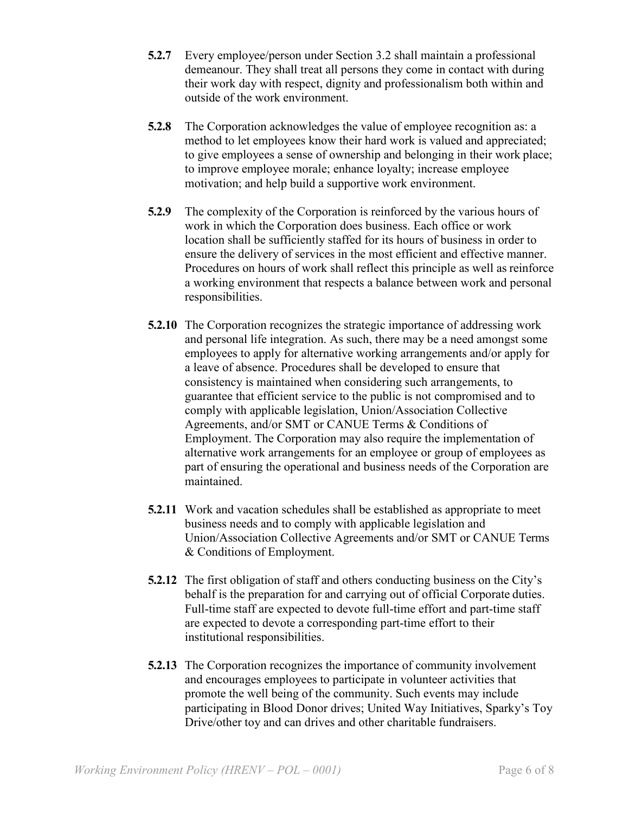- **5.2.7** Every employee/person under Section 3.2 shall maintain a professional demeanour. They shall treat all persons they come in contact with during their work day with respect, dignity and professionalism both within and outside of the work environment.
- **5.2.8** The Corporation acknowledges the value of employee recognition as: a method to let employees know their hard work is valued and appreciated; to give employees a sense of ownership and belonging in their work place; to improve employee morale; enhance loyalty; increase employee motivation; and help build a supportive work environment.
- **5.2.9** The complexity of the Corporation is reinforced by the various hours of work in which the Corporation does business. Each office or work location shall be sufficiently staffed for its hours of business in order to ensure the delivery of services in the most efficient and effective manner. Procedures on hours of work shall reflect this principle as well as reinforce a working environment that respects a balance between work and personal responsibilities.
- **5.2.10** The Corporation recognizes the strategic importance of addressing work and personal life integration. As such, there may be a need amongst some employees to apply for alternative working arrangements and/or apply for a leave of absence. Procedures shall be developed to ensure that consistency is maintained when considering such arrangements, to guarantee that efficient service to the public is not compromised and to comply with applicable legislation, Union/Association Collective Agreements, and/or SMT or CANUE Terms & Conditions of Employment. The Corporation may also require the implementation of alternative work arrangements for an employee or group of employees as part of ensuring the operational and business needs of the Corporation are maintained.
- **5.2.11** Work and vacation schedules shall be established as appropriate to meet business needs and to comply with applicable legislation and Union/Association Collective Agreements and/or SMT or CANUE Terms & Conditions of Employment.
- **5.2.12** The first obligation of staff and others conducting business on the City's behalf is the preparation for and carrying out of official Corporate duties. Full-time staff are expected to devote full-time effort and part-time staff are expected to devote a corresponding part-time effort to their institutional responsibilities.
- **5.2.13** The Corporation recognizes the importance of community involvement and encourages employees to participate in volunteer activities that promote the well being of the community. Such events may include participating in Blood Donor drives; United Way Initiatives, Sparky's Toy Drive/other toy and can drives and other charitable fundraisers.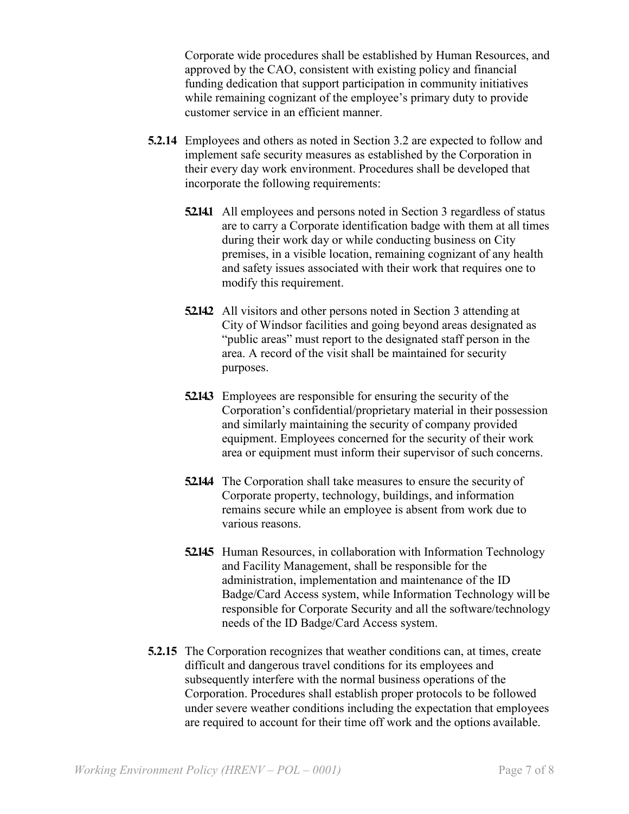Corporate wide procedures shall be established by Human Resources, and approved by the CAO, consistent with existing policy and financial funding dedication that support participation in community initiatives while remaining cognizant of the employee's primary duty to provide customer service in an efficient manner.

- **5.2.14** Employees and others as noted in Section 3.2 are expected to follow and implement safe security measures as established by the Corporation in their every day work environment. Procedures shall be developed that incorporate the following requirements:
	- **5.2.14.1** All employees and persons noted in Section 3 regardless of status are to carry a Corporate identification badge with them at all times during their work day or while conducting business on City premises, in a visible location, remaining cognizant of any health and safety issues associated with their work that requires one to modify this requirement.
	- **52.14.2** All visitors and other persons noted in Section 3 attending at City of Windsor facilities and going beyond areas designated as "public areas" must report to the designated staff person in the area. A record of the visit shall be maintained for security purposes.
	- **52.143** Employees are responsible for ensuring the security of the Corporation's confidential/proprietary material in their possession and similarly maintaining the security of company provided equipment. Employees concerned for the security of their work area or equipment must inform their supervisor of such concerns.
	- **52.144** The Corporation shall take measures to ensure the security of Corporate property, technology, buildings, and information remains secure while an employee is absent from work due to various reasons.
	- **52.145** Human Resources, in collaboration with Information Technology and Facility Management, shall be responsible for the administration, implementation and maintenance of the ID Badge/Card Access system, while Information Technology will be responsible for Corporate Security and all the software/technology needs of the ID Badge/Card Access system.
- **5.2.15** The Corporation recognizes that weather conditions can, at times, create difficult and dangerous travel conditions for its employees and subsequently interfere with the normal business operations of the Corporation. Procedures shall establish proper protocols to be followed under severe weather conditions including the expectation that employees are required to account for their time off work and the options available.